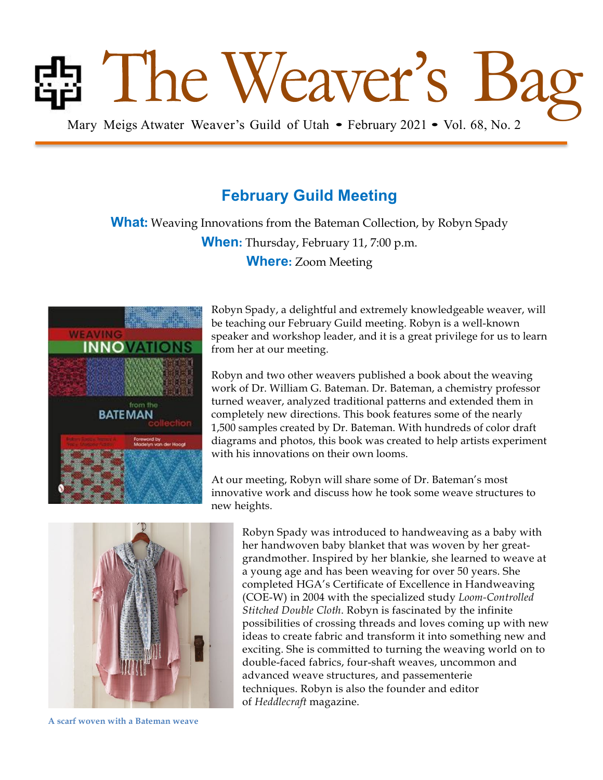# **Bag Mary Meigs Atwater Weaver's Guild of Utah • February 2021 • Vol. 68, No. 2**

# **February Guild Meeting**

**What:** Weaving Innovations from the Bateman Collection, by Robyn Spady **When:** Thursday, February 11, 7:00 p.m. **Where:** Zoom Meeting



Robyn Spady, a delightful and extremely knowledgeable weaver, will be teaching our February Guild meeting. Robyn is a well-known speaker and workshop leader, and it is a great privilege for us to learn from her at our meeting.

Robyn and two other weavers published a book about the weaving work of Dr. William G. Bateman. Dr. Bateman, a chemistry professor turned weaver, analyzed traditional patterns and extended them in completely new directions. This book features some of the nearly 1,500 samples created by Dr. Bateman. With hundreds of color draft diagrams and photos, this book was created to help artists experiment with his innovations on their own looms.

At our meeting, Robyn will share some of Dr. Bateman's most innovative work and discuss how he took some weave structures to new heights.



1 **A scarf woven with a Bateman weave**

Robyn Spady was introduced to handweaving as a baby with her handwoven baby blanket that was woven by her greatgrandmother. Inspired by her blankie, she learned to weave at a young age and has been weaving for over 50 years. She completed HGA's Certificate of Excellence in Handweaving (COE-W) in 2004 with the specialized study *Loom-Controlled Stitched Double Cloth*. Robyn is fascinated by the infinite possibilities of crossing threads and loves coming up with new ideas to create fabric and transform it into something new and exciting. She is committed to turning the weaving world on to double-faced fabrics, four-shaft weaves, uncommon and advanced weave structures, and passementerie techniques. Robyn is also the founder and editor of *Heddlecraft* magazine.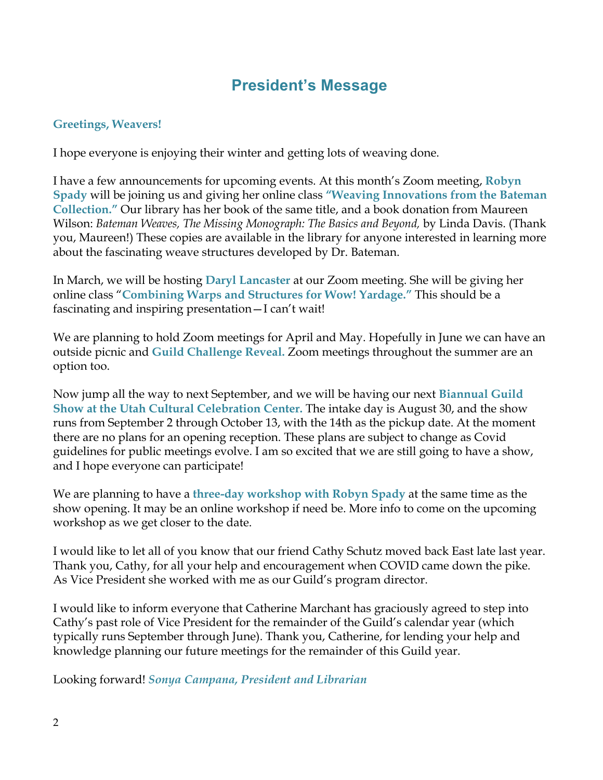# **President's Message**

## **Greetings, Weavers!**

I hope everyone is enjoying their winter and getting lots of weaving done.

I have a few announcements for upcoming events. At this month's Zoom meeting, **Robyn Spady** will be joining us and giving her online class **"Weaving Innovations from the Bateman Collection."** Our library has her book of the same title, and a book donation from Maureen Wilson: *Bateman Weaves, The Missing Monograph: The Basics and Beyond,* by Linda Davis. (Thank you, Maureen!) These copies are available in the library for anyone interested in learning more about the fascinating weave structures developed by Dr. Bateman.

In March, we will be hosting **Daryl Lancaster** at our Zoom meeting. She will be giving her online class "**Combining Warps and Structures for Wow! Yardage."** This should be a fascinating and inspiring presentation—I can't wait!

We are planning to hold Zoom meetings for April and May. Hopefully in June we can have an outside picnic and **Guild Challenge Reveal.** Zoom meetings throughout the summer are an option too.

Now jump all the way to next September, and we will be having our next **Biannual Guild Show at the Utah Cultural Celebration Center.** The intake day is August 30, and the show runs from September 2 through October 13, with the 14th as the pickup date. At the moment there are no plans for an opening reception. These plans are subject to change as Covid guidelines for public meetings evolve. I am so excited that we are still going to have a show, and I hope everyone can participate!

We are planning to have a **three-day workshop with Robyn Spady** at the same time as the show opening. It may be an online workshop if need be. More info to come on the upcoming workshop as we get closer to the date.

I would like to let all of you know that our friend Cathy Schutz moved back East late last year. Thank you, Cathy, for all your help and encouragement when COVID came down the pike. As Vice President she worked with me as our Guild's program director.

I would like to inform everyone that Catherine Marchant has graciously agreed to step into Cathy's past role of Vice President for the remainder of the Guild's calendar year (which typically runs September through June). Thank you, Catherine, for lending your help and knowledge planning our future meetings for the remainder of this Guild year.

Looking forward! *Sonya Campana, President and Librarian*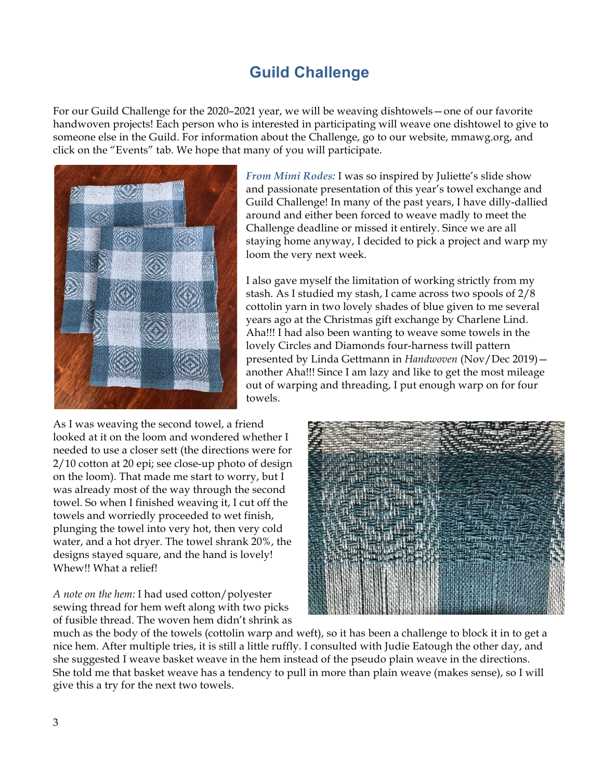# **Guild Challenge**

For our Guild Challenge for the 2020–2021 year, we will be weaving dishtowels—one of our favorite handwoven projects! Each person who is interested in participating will weave one dishtowel to give to someone else in the Guild. For information about the Challenge, go to our website, mmawg.org, and click on the "Events" tab. We hope that many of you will participate.



*From Mimi Rodes:* I was so inspired by Juliette's slide show and passionate presentation of this year's towel exchange and Guild Challenge! In many of the past years, I have dilly-dallied around and either been forced to weave madly to meet the Challenge deadline or missed it entirely. Since we are all staying home anyway, I decided to pick a project and warp my loom the very next week.

I also gave myself the limitation of working strictly from my stash. As I studied my stash, I came across two spools of 2/8 cottolin yarn in two lovely shades of blue given to me several years ago at the Christmas gift exchange by Charlene Lind. Aha!!! I had also been wanting to weave some towels in the lovely Circles and Diamonds four-harness twill pattern presented by Linda Gettmann in *Handwoven* (Nov/Dec 2019) another Aha!!! Since I am lazy and like to get the most mileage out of warping and threading, I put enough warp on for four towels.

As I was weaving the second towel, a friend looked at it on the loom and wondered whether I needed to use a closer sett (the directions were for 2/10 cotton at 20 epi; see close-up photo of design on the loom). That made me start to worry, but I was already most of the way through the second towel. So when I finished weaving it, I cut off the towels and worriedly proceeded to wet finish, plunging the towel into very hot, then very cold water, and a hot dryer. The towel shrank 20%, the designs stayed square, and the hand is lovely! Whew!! What a relief!

*A note on the hem:* I had used cotton/polyester sewing thread for hem weft along with two picks of fusible thread. The woven hem didn't shrink as



much as the body of the towels (cottolin warp and weft), so it has been a challenge to block it in to get a nice hem. After multiple tries, it is still a little ruffly. I consulted with Judie Eatough the other day, and she suggested I weave basket weave in the hem instead of the pseudo plain weave in the directions. She told me that basket weave has a tendency to pull in more than plain weave (makes sense), so I will give this a try for the next two towels.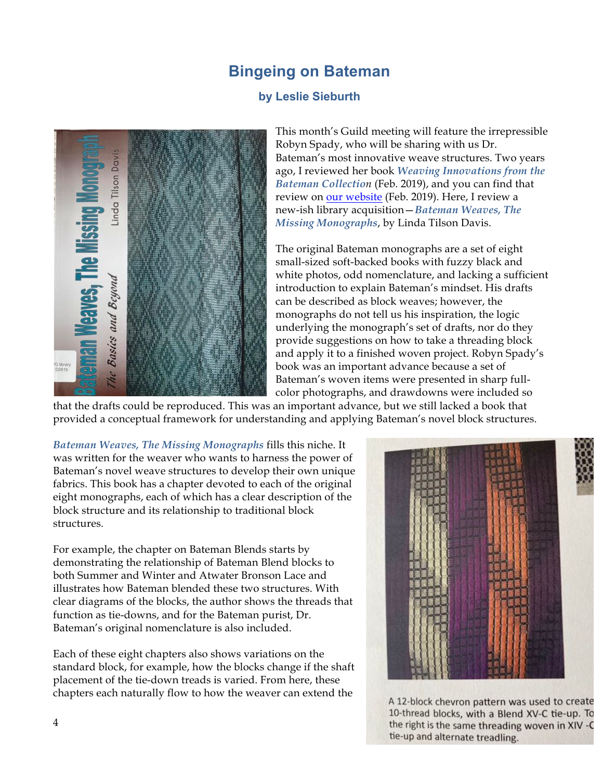## **Bingeing on Bateman**

## **by Leslie Sieburth**



This month's Guild meeting will feature the irrepressible Robyn Spady, who will be sharing with us Dr. Bateman's most innovative weave structures. Two years ago, I reviewed her book *Weaving Innovations from the Bateman Collection* (Feb. 2019), and you can find that review on our website (Feb. 2019). Here, I review a new-ish library acquisition—*Bateman Weaves, The Missing Monographs*, by Linda Tilson Davis.

The original Bateman monographs are a set of eight small-sized soft-backed books with fuzzy black and white photos, odd nomenclature, and lacking a sufficient introduction to explain Bateman's mindset. His drafts can be described as block weaves; however, the monographs do not tell us his inspiration, the logic underlying the monograph's set of drafts, nor do they provide suggestions on how to take a threading block and apply it to a finished woven project. Robyn Spady's book was an important advance because a set of Bateman's woven items were presented in sharp fullcolor photographs, and drawdowns were included so

that the drafts could be reproduced. This was an important advance, but we still lacked a book that provided a conceptual framework for understanding and applying Bateman's novel block structures.

*Bateman Weaves, The Missing Monographs* fills this niche. It was written for the weaver who wants to harness the power of Bateman's novel weave structures to develop their own unique fabrics. This book has a chapter devoted to each of the original eight monographs, each of which has a clear description of the block structure and its relationship to traditional block structures.

For example, the chapter on Bateman Blends starts by demonstrating the relationship of Bateman Blend blocks to both Summer and Winter and Atwater Bronson Lace and illustrates how Bateman blended these two structures. With clear diagrams of the blocks, the author shows the threads that function as tie-downs, and for the Bateman purist, Dr. Bateman's original nomenclature is also included.

Each of these eight chapters also shows variations on the standard block, for example, how the blocks change if the shaft placement of the tie-down treads is varied. From here, these chapters each naturally flow to how the weaver can extend the



A 12-block chevron pattern was used to create 10-thread blocks, with a Blend XV-C tie-up. To the right is the same threading woven in XIV -C tie-up and alternate treadling.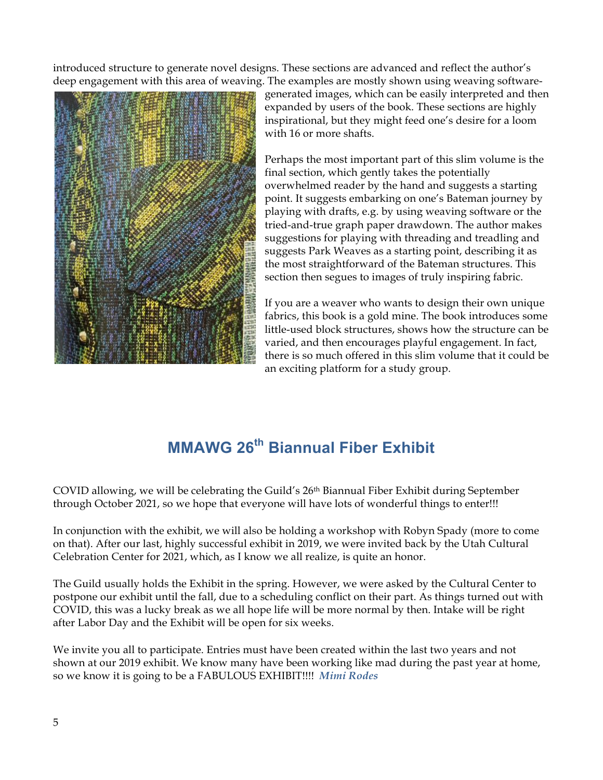introduced structure to generate novel designs. These sections are advanced and reflect the author's deep engagement with this area of weaving. The examples are mostly shown using weaving software-



generated images, which can be easily interpreted and then expanded by users of the book. These sections are highly inspirational, but they might feed one's desire for a loom with 16 or more shafts.

Perhaps the most important part of this slim volume is the final section, which gently takes the potentially overwhelmed reader by the hand and suggests a starting point. It suggests embarking on one's Bateman journey by playing with drafts, e.g. by using weaving software or the tried-and-true graph paper drawdown. The author makes suggestions for playing with threading and treadling and suggests Park Weaves as a starting point, describing it as the most straightforward of the Bateman structures. This section then segues to images of truly inspiring fabric.

If you are a weaver who wants to design their own unique fabrics, this book is a gold mine. The book introduces some little-used block structures, shows how the structure can be varied, and then encourages playful engagement. In fact, there is so much offered in this slim volume that it could be an exciting platform for a study group.

# **MMAWG 26th Biannual Fiber Exhibit**

COVID allowing, we will be celebrating the Guild's 26th Biannual Fiber Exhibit during September through October 2021, so we hope that everyone will have lots of wonderful things to enter!!!

In conjunction with the exhibit, we will also be holding a workshop with Robyn Spady (more to come on that). After our last, highly successful exhibit in 2019, we were invited back by the Utah Cultural Celebration Center for 2021, which, as I know we all realize, is quite an honor.

The Guild usually holds the Exhibit in the spring. However, we were asked by the Cultural Center to postpone our exhibit until the fall, due to a scheduling conflict on their part. As things turned out with COVID, this was a lucky break as we all hope life will be more normal by then. Intake will be right after Labor Day and the Exhibit will be open for six weeks.

We invite you all to participate. Entries must have been created within the last two years and not shown at our 2019 exhibit. We know many have been working like mad during the past year at home, so we know it is going to be a FABULOUS EXHIBIT!!!! *Mimi Rodes*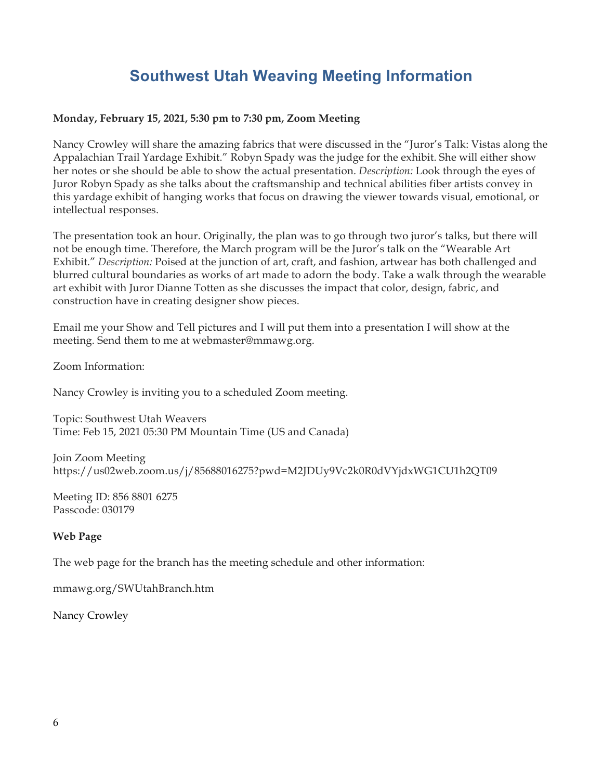# **Southwest Utah Weaving Meeting Information**

## **Monday, February 15, 2021, 5:30 pm to 7:30 pm, Zoom Meeting**

Nancy Crowley will share the amazing fabrics that were discussed in the "Juror's Talk: Vistas along the Appalachian Trail Yardage Exhibit." Robyn Spady was the judge for the exhibit. She will either show her notes or she should be able to show the actual presentation. *Description:* Look through the eyes of Juror Robyn Spady as she talks about the craftsmanship and technical abilities fiber artists convey in this yardage exhibit of hanging works that focus on drawing the viewer towards visual, emotional, or intellectual responses.

The presentation took an hour. Originally, the plan was to go through two juror's talks, but there will not be enough time. Therefore, the March program will be the Juror's talk on the "Wearable Art Exhibit." *Description:* Poised at the junction of art, craft, and fashion, artwear has both challenged and blurred cultural boundaries as works of art made to adorn the body. Take a walk through the wearable art exhibit with Juror Dianne Totten as she discusses the impact that color, design, fabric, and construction have in creating designer show pieces.

Email me your Show and Tell pictures and I will put them into a presentation I will show at the meeting. Send them to me at webmaster@mmawg.org.

Zoom Information:

Nancy Crowley is inviting you to a scheduled Zoom meeting.

Topic: Southwest Utah Weavers Time: Feb 15, 2021 05:30 PM Mountain Time (US and Canada)

Join Zoom Meeting https://us02web.zoom.us/j/85688016275?pwd=M2JDUy9Vc2k0R0dVYjdxWG1CU1h2QT09

Meeting ID: 856 8801 6275 Passcode: 030179

## **Web Page**

The web page for the branch has the meeting schedule and other information:

mmawg.org/SWUtahBranch.htm

Nancy Crowley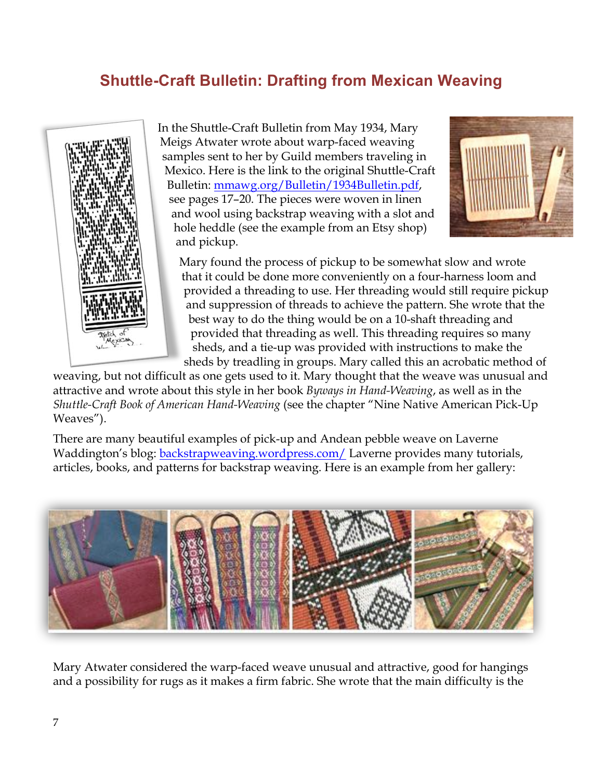# **Shuttle-Craft Bulletin: Drafting from Mexican Weaving**



In the Shuttle-Craft Bulletin from May 1934, Mary Meigs Atwater wrote about warp-faced weaving samples sent to her by Guild members traveling in Mexico. Here is the link to the original Shuttle-Craft Bulletin: mmawg.org/Bulletin/1934Bulletin.pdf, see pages 17–20. The pieces were woven in linen and wool using backstrap weaving with a slot and hole heddle (see the example from an Etsy shop) and pickup.



Mary found the process of pickup to be somewhat slow and wrote that it could be done more conveniently on a four-harness loom and provided a threading to use. Her threading would still require pickup and suppression of threads to achieve the pattern. She wrote that the best way to do the thing would be on a 10-shaft threading and provided that threading as well. This threading requires so many sheds, and a tie-up was provided with instructions to make the sheds by treadling in groups. Mary called this an acrobatic method of

weaving, but not difficult as one gets used to it. Mary thought that the weave was unusual and attractive and wrote about this style in her book *Byways in Hand-Weaving*, as well as in the *Shuttle-Craft Book of American Hand-Weaving* (see the chapter "Nine Native American Pick-Up Weaves").

There are many beautiful examples of pick-up and Andean pebble weave on Laverne Waddington's blog: backstrapweaving.wordpress.com/ Laverne provides many tutorials, articles, books, and patterns for backstrap weaving. Here is an example from her gallery:



Mary Atwater considered the warp-faced weave unusual and attractive, good for hangings and a possibility for rugs as it makes a firm fabric. She wrote that the main difficulty is the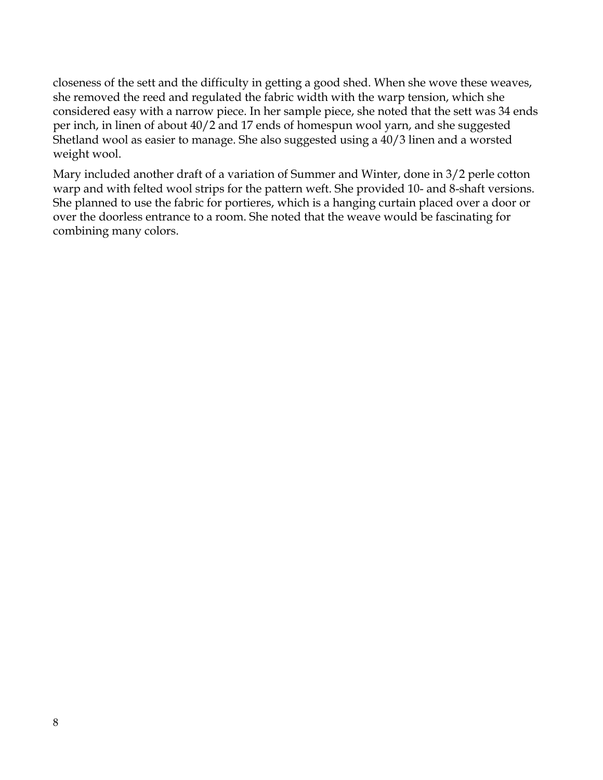closeness of the sett and the difficulty in getting a good shed. When she wove these weaves, she removed the reed and regulated the fabric width with the warp tension, which she considered easy with a narrow piece. In her sample piece, she noted that the sett was 34 ends per inch, in linen of about 40/2 and 17 ends of homespun wool yarn, and she suggested Shetland wool as easier to manage. She also suggested using a 40/3 linen and a worsted weight wool.

Mary included another draft of a variation of Summer and Winter, done in 3/2 perle cotton warp and with felted wool strips for the pattern weft. She provided 10- and 8-shaft versions. She planned to use the fabric for portieres, which is a hanging curtain placed over a door or over the doorless entrance to a room. She noted that the weave would be fascinating for combining many colors.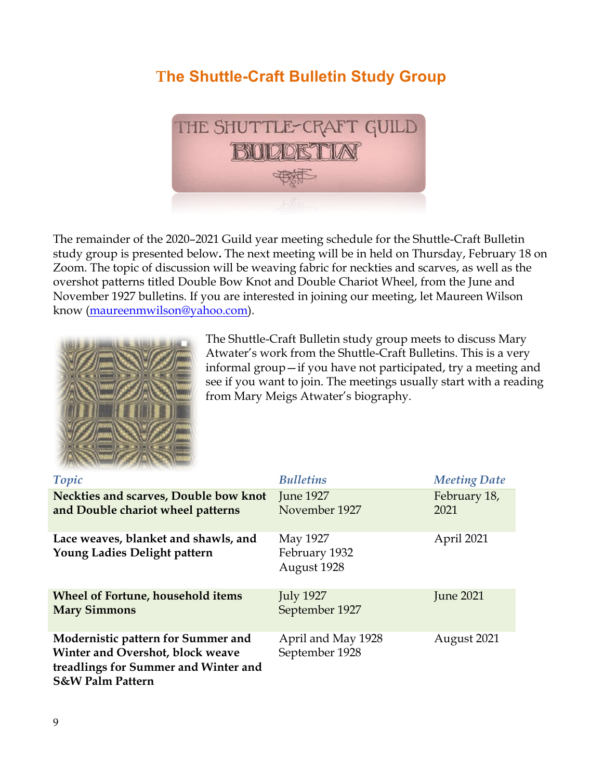# **The Shuttle-Craft Bulletin Study Group**



The remainder of the 2020–2021 Guild year meeting schedule for the Shuttle-Craft Bulletin study group is presented below**.** The next meeting will be in held on Thursday, February 18 on Zoom. The topic of discussion will be weaving fabric for neckties and scarves, as well as the overshot patterns titled Double Bow Knot and Double Chariot Wheel, from the June and November 1927 bulletins. If you are interested in joining our meeting, let Maureen Wilson know (maureenmwilson@yahoo.com).



The Shuttle-Craft Bulletin study group meets to discuss Mary Atwater's work from the Shuttle-Craft Bulletins. This is a very informal group—if you have not participated, try a meeting and see if you want to join. The meetings usually start with a reading from Mary Meigs Atwater's biography.

| Topic                                                                                                                                         | <b>Bulletins</b>                         | <b>Meeting Date</b>  |
|-----------------------------------------------------------------------------------------------------------------------------------------------|------------------------------------------|----------------------|
| Neckties and scarves, Double bow knot<br>and Double chariot wheel patterns                                                                    | <b>June 1927</b><br>November 1927        | February 18,<br>2021 |
| Lace weaves, blanket and shawls, and<br>Young Ladies Delight pattern                                                                          | May 1927<br>February 1932<br>August 1928 | April 2021           |
| <b>Wheel of Fortune, household items</b><br><b>Mary Simmons</b>                                                                               | <b>July 1927</b><br>September 1927       | <b>June 2021</b>     |
| Modernistic pattern for Summer and<br>Winter and Overshot, block weave<br>treadlings for Summer and Winter and<br><b>S&amp;W Palm Pattern</b> | April and May 1928<br>September 1928     | August 2021          |